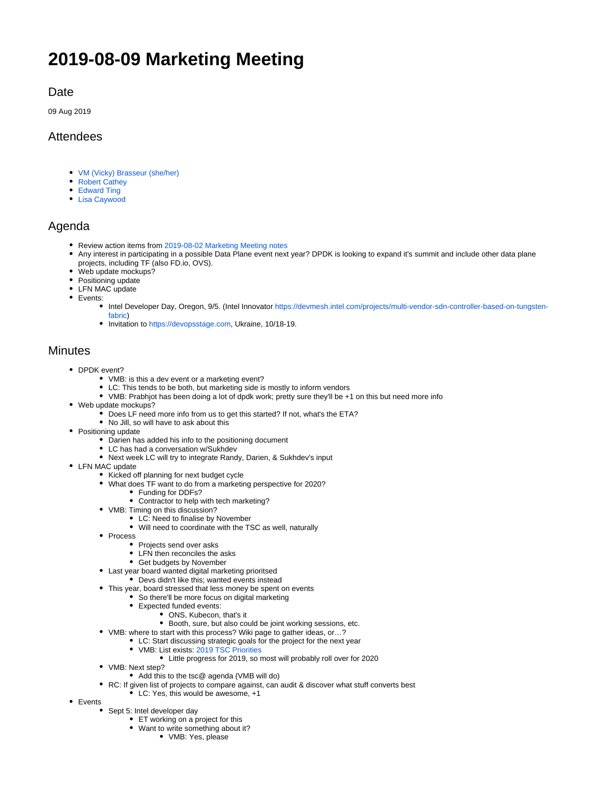# **2019-08-09 Marketing Meeting**

### **Date**

09 Aug 2019

## Attendees

- [VM \(Vicky\) Brasseur \(she/her\)](https://wiki.tungsten.io/display/~vmbrasseur)
- [Robert Cathey](https://wiki.tungsten.io/display/~robertcathey)
- [Edward Ting](https://wiki.tungsten.io/display/~ocean1598)
- [Lisa Caywood](https://wiki.tungsten.io/display/~lcaywood1)

### Agenda

- Review action items from [2019-08-02 Marketing Meeting notes](https://wiki.tungsten.io/display/TUN/2019-08-02+Marketing+Meeting+notes)
- Any interest in participating in a possible Data Plane event next year? DPDK is looking to expand it's summit and include other data plane projects, including TF (also FD.io, OVS).
- Web update mockups?
- Positioning update
- LFN MAC update
- Events:
	- Intel Developer Day, Oregon, 9/5. (Intel Innovator [https://devmesh.intel.com/projects/multi-vendor-sdn-controller-based-on-tungsten](https://devmesh.intel.com/projects/multi-vendor-sdn-controller-based-on-tungsten-fabric)[fabric](https://devmesh.intel.com/projects/multi-vendor-sdn-controller-based-on-tungsten-fabric))
	- Invitation to [https://devopsstage.com,](https://devopsstage.com) Ukraine, 10/18-19.

#### **Minutes**

- DPDK event?
	- VMB: is this a dev event or a marketing event?
	- LC: This tends to be both, but marketing side is mostly to inform vendors
	- VMB: Prabhjot has been doing a lot of dpdk work; pretty sure they'll be +1 on this but need more info
- Web update mockups?
	- Does LF need more info from us to get this started? If not, what's the ETA?
	- No Jill, so will have to ask about this
- Positioning update
	- Darien has added his info to the positioning document
	- LC has had a conversation w/Sukhdev
	- Next week LC will try to integrate Randy, Darien, & Sukhdev's input
- LFN MAC update
	- Kicked off planning for next budget cycle
	- What does TF want to do from a marketing perspective for 2020?
		- Funding for DDFs?
			- Contractor to help with tech marketing?
	- VMB: Timing on this discussion?
		- LC: Need to finalise by November
		- Will need to coordinate with the TSC as well, naturally
	- Process
		- Projects send over asks
		- LFN then reconciles the asks
		- Get budgets by November
	- Last year board wanted digital marketing prioritsed
		- Devs didn't like this; wanted events instead
	- This year, board stressed that less money be spent on events
		- So there'll be more focus on digital marketing
		- Expected funded events:
			- ONS, Kubecon, that's it
			- Booth, sure, but also could be joint working sessions, etc.
	- VMB: where to start with this process? Wiki page to gather ideas, or…?
		- LC: Start discussing strategic goals for the project for the next year
		- VMB: List exists: [2019 TSC Priorities](https://wiki.tungsten.io/display/TUN/2019+TSC+Priorities)
			- Little progress for 2019, so most will probably roll over for 2020
	- VMB: Next step?
		- Add this to the tsc@ agenda (VMB will do)
	- RC: If given list of projects to compare against, can audit & discover what stuff converts best
		- LC: Yes, this would be awesome, +1
- Events
	- Sept 5: Intel developer day
		- ET working on a project for this
		- Want to write something about it?
			- VMB: Yes, please